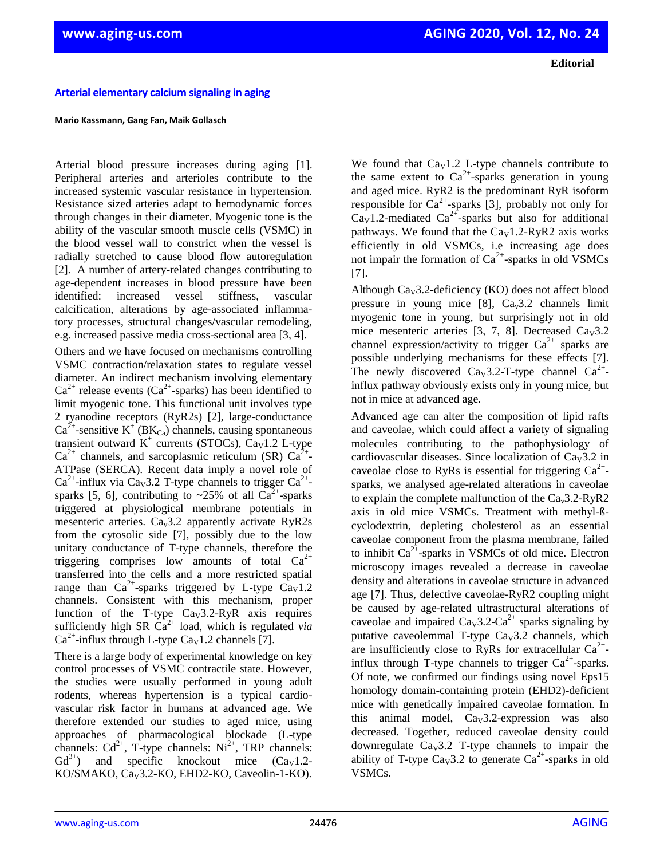**Editorial**

## **Arterial elementary calcium signaling in aging**

## **Mario Kassmann, Gang Fan, Maik Gollasch**

Arterial blood pressure increases during aging [1]. Peripheral arteries and arterioles contribute to the increased systemic vascular resistance in hypertension. Resistance sized arteries adapt to hemodynamic forces through changes in their diameter. Myogenic tone is the ability of the vascular smooth muscle cells (VSMC) in the blood vessel wall to constrict when the vessel is radially stretched to cause blood flow autoregulation [2]. A number of artery-related changes contributing to age-dependent increases in blood pressure have been identified: increased vessel stiffness, vascular calcification, alterations by age-associated inflammatory processes, structural changes/vascular remodeling, e.g. increased passive media cross-sectional area [3, 4].

Others and we have focused on mechanisms controlling VSMC contraction/relaxation states to regulate vessel diameter. An indirect mechanism involving elementary  $Ca^{2+}$  release events ( $Ca^{2+}$ -sparks) has been identified to limit myogenic tone. This functional unit involves type 2 ryanodine receptors (RyR2s) [2], large-conductance  $Ca^{2+}$ -sensitive K<sup>+</sup> (BK<sub>Ca</sub>) channels, causing spontaneous transient outward  $K^+$  currents (STOCs),  $\text{Ca}_{V}1.2$  L-type  $Ca^{2+}$  channels, and sarcoplasmic reticulum (SR)  $Ca^{2+}$ -ATPase (SERCA). Recent data imply a novel role of Ca<sup>2+</sup>-influx via Ca<sub>V</sub>3.2 T-type channels to trigger Ca<sup>2+</sup>sparks [5, 6], contributing to ~25% of all  $Ca^{2+}$ -sparks triggered at physiological membrane potentials in mesenteric arteries.  $Ca<sub>v</sub>3.2$  apparently activate RyR2s from the cytosolic side [7], possibly due to the low unitary conductance of T-type channels, therefore the triggering comprises low amounts of total  $Ca^{2+}$ transferred into the cells and a more restricted spatial range than  $Ca^{2+}$ -sparks triggered by L-type  $Ca<sub>v</sub>1.2$ channels. Consistent with this mechanism, proper function of the T-type  $Ca<sub>V</sub>3.2-R<sub>V</sub>R$  axis requires sufficiently high SR  $Ca^{2+}$  load, which is regulated *via*  $Ca^{2+}$ -influx through L-type  $Ca<sub>V</sub>1.2$  channels [7].

There is a large body of experimental knowledge on key control processes of VSMC contractile state. However, the studies were usually performed in young adult rodents, whereas hypertension is a typical cardiovascular risk factor in humans at advanced age. We therefore extended our studies to aged mice, using approaches of pharmacological blockade (L-type channels:  $Cd^{2+}$ , T-type channels:  $Ni^{2+}$ , TRP channels:  $Gd^{3+}$ ) and specific knockout mice  $(Ca<sub>V</sub>1.2-$ KO/SMAKO, Ca<sub>V</sub>3.2-KO, EHD2-KO, Caveolin-1-KO).

We found that  $Ca<sub>V</sub>1.2$  L-type channels contribute to the same extent to  $Ca^{2+}$ -sparks generation in young and aged mice. RyR2 is the predominant RyR isoform responsible for  $Ca^{2+}$ -sparks [3], probably not only for  $Ca<sub>v</sub>1.2$ -mediated  $Ca<sup>2+</sup>$ -sparks but also for additional pathways. We found that the  $Ca<sub>V</sub>1.2-R<sub>V</sub>R2$  axis works efficiently in old VSMCs, i.e increasing age does not impair the formation of  $Ca^{2+}$ -sparks in old VSMCs [7].

Although  $\text{Cay3.2-deficiency (KO) does not affect blood}$ pressure in young mice [8],  $Ca<sub>v</sub>3.2$  channels limit myogenic tone in young, but surprisingly not in old mice mesenteric arteries [3, 7, 8]. Decreased  $Ca<sub>v</sub>3.2$ channel expression/activity to trigger  $Ca^{2+}$  sparks are possible underlying mechanisms for these effects [7]. The newly discovered Ca<sub>v</sub>3.2-T-type channel  $Ca<sup>2+</sup>$ influx pathway obviously exists only in young mice, but not in mice at advanced age.

Advanced age can alter the composition of lipid rafts and caveolae, which could affect a variety of signaling molecules contributing to the pathophysiology of cardiovascular diseases. Since localization of  $C_{av}3.2$  in caveolae close to RyRs is essential for triggering  $Ca^{2+}$ sparks, we analysed age-related alterations in caveolae to explain the complete malfunction of the  $Ca<sub>v</sub>3.2-RyR2$ axis in old mice VSMCs. Treatment with methyl-ßcyclodextrin, depleting cholesterol as an essential caveolae component from the plasma membrane, failed to inhibit  $Ca^{2+}$ -sparks in VSMCs of old mice. Electron microscopy images revealed a decrease in caveolae density and alterations in caveolae structure in advanced age [7]. Thus, defective caveolae-RyR2 coupling might be caused by age-related ultrastructural alterations of caveolae and impaired  $Ca_V3.2\text{-}Ca^{2+}$  sparks signaling by putative caveolemmal T-type  $\text{Ca}_{v}3.2$  channels, which are insufficiently close to RyRs for extracellular  $Ca^{2+}$ influx through T-type channels to trigger  $Ca^{2+}$ -sparks. Of note, we confirmed our findings using novel Eps15 homology domain-containing protein (EHD2)-deficient mice with genetically impaired caveolae formation. In this animal model,  $Ca<sub>v</sub>3.2$ -expression was also decreased. Together, reduced caveolae density could downregulate  $Ca<sub>v</sub>3.2$  T-type channels to impair the ability of T-type Ca<sub>v</sub>3.2 to generate Ca<sup>2+</sup>-sparks in old VSMCs.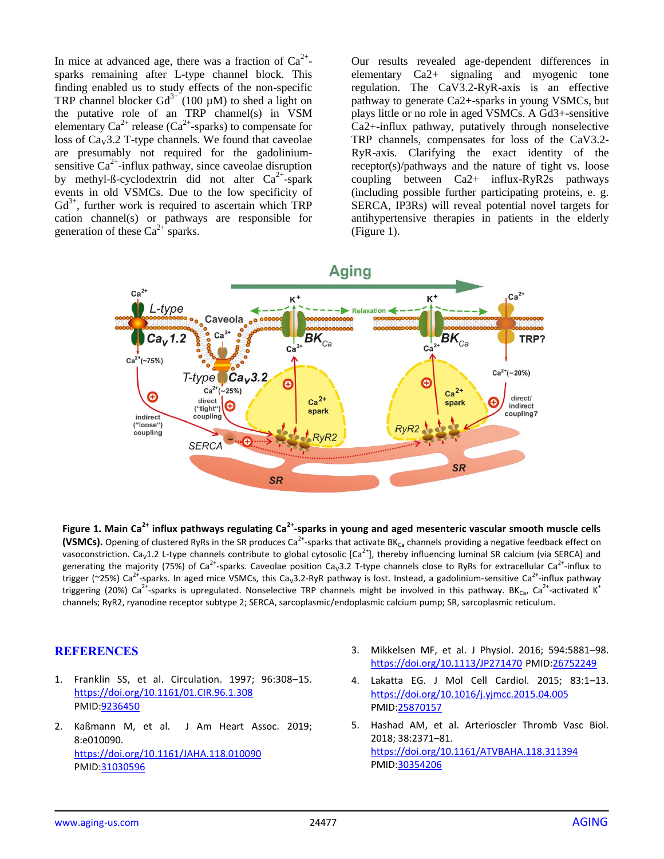In mice at advanced age, there was a fraction of  $Ca^{2+}$ sparks remaining after L-type channel block. This finding enabled us to study effects of the non-specific TRP channel blocker  $Gd^{3+}$  (100 µM) to shed a light on the putative role of an TRP channel(s) in VSM elementary  $Ca^{2+}$  release ( $Ca^{2+}$ -sparks) to compensate for loss of  $Ca<sub>v</sub>3.2$  T-type channels. We found that caveolae are presumably not required for the gadoliniumsensitive  $Ca^{2+}$ -influx pathway, since caveolae disruption by methyl-ß-cyclodextrin did not alter  $Ca^{2+}$ -spark events in old VSMCs. Due to the low specificity of  $Gd^{3+}$ , further work is required to ascertain which TRP cation channel(s) or pathways are responsible for generation of these  $Ca^{2+}$  sparks.

Our results revealed age-dependent differences in elementary Ca2+ signaling and myogenic tone regulation. The CaV3.2-RyR-axis is an effective pathway to generate Ca2+-sparks in young VSMCs, but plays little or no role in aged VSMCs. A Gd3+-sensitive Ca2+-influx pathway, putatively through nonselective TRP channels, compensates for loss of the CaV3.2- RyR-axis. Clarifying the exact identity of the receptor(s)/pathways and the nature of tight vs. loose coupling between Ca2+ influx-RyR2s pathways (including possible further participating proteins, e. g. SERCA, IP3Rs) will reveal potential novel targets for antihypertensive therapies in patients in the elderly (Figure 1).



**Figure 1. Main Ca2+ influx pathways regulating Ca2+ -sparks in young and aged mesenteric vascular smooth muscle cells**  (VSMCs). Opening of clustered RyRs in the SR produces Ca<sup>2+</sup>-sparks that activate BK<sub>Ca</sub> channels providing a negative feedback effect on vasoconstriction. Ca<sub>v</sub>1.2 L-type channels contribute to global cytosolic [Ca<sup>2+</sup>], thereby influencing luminal SR calcium (via SERCA) and generating the majority (75%) of Ca<sup>2+</sup>-sparks. Caveolae position Ca<sub>v</sub>3.2 T-type channels close to RyRs for extracellular Ca<sup>2+</sup>-influx to trigger (~25%) Ca<sup>2+</sup>-sparks. In aged mice VSMCs, this Ca<sub>v</sub>3.2-RyR pathway is lost. Instead, a gadolinium-sensitive Ca<sup>2+</sup>-influx pathway triggering (20%) Ca<sup>2+</sup>-sparks is upregulated. Nonselective TRP channels might be involved in this pathway. BK<sub>Ca</sub>, Ca<sup>2+</sup>-activated K<sup>+</sup> channels; RyR2, ryanodine receptor subtype 2; SERCA, sarcoplasmic/endoplasmic calcium pump; SR, sarcoplasmic reticulum.

## **REFERENCES**

- 1. Franklin SS, et al. Circulation. 1997; 96:308–15. <https://doi.org/10.1161/01.CIR.96.1.308> PMID[:9236450](https://www.ncbi.nlm.nih.gov/entrez/query.fcgi?cmd=Retrieve&db=PubMed&list_uids=9236450&dopt=Abstract)
- 2. Kaßmann M, et al. J Am Heart Assoc. 2019; 8:e010090. <https://doi.org/10.1161/JAHA.118.010090> PMID[:31030596](https://www.ncbi.nlm.nih.gov/entrez/query.fcgi?cmd=Retrieve&db=PubMed&list_uids=31030596&dopt=Abstract)
- 3. Mikkelsen MF, et al. J Physiol. 2016; 594:5881–98. <https://doi.org/10.1113/JP271470> PMID[:26752249](https://www.ncbi.nlm.nih.gov/entrez/query.fcgi?cmd=Retrieve&db=PubMed&list_uids=26752249&dopt=Abstract)
- 4. Lakatta EG. J Mol Cell Cardiol. 2015; 83:1–13. <https://doi.org/10.1016/j.yjmcc.2015.04.005> PMID[:25870157](https://www.ncbi.nlm.nih.gov/entrez/query.fcgi?cmd=Retrieve&db=PubMed&list_uids=25870157&dopt=Abstract)
- 5. Hashad AM, et al. Arterioscler Thromb Vasc Biol. 2018; 38:2371–81. <https://doi.org/10.1161/ATVBAHA.118.311394> PMID[:30354206](https://www.ncbi.nlm.nih.gov/entrez/query.fcgi?cmd=Retrieve&db=PubMed&list_uids=30354206&dopt=Abstract)